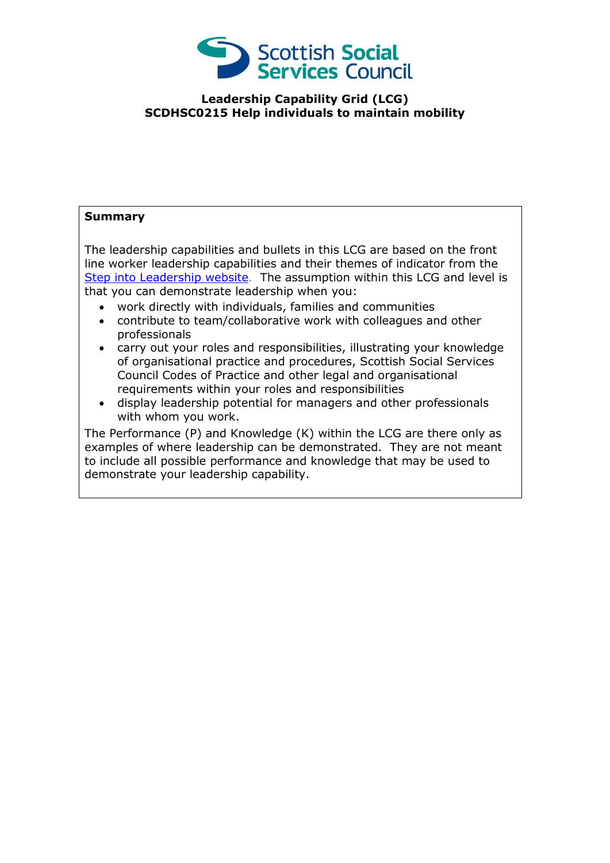

## **Leadership Capability Grid (LCG) SCDHSC0215 Help individuals to maintain mobility**

## **Summary**

The leadership capabilities and bullets in this LCG are based on the front line worker leadership capabilities and their themes of indicator from the [Step into Leadership](http://www.stepintoleadership.info/) website. The assumption within this LCG and level is that you can demonstrate leadership when you:

- work directly with individuals, families and communities
- contribute to team/collaborative work with colleagues and other professionals
- carry out your roles and responsibilities, illustrating your knowledge of organisational practice and procedures, Scottish Social Services Council Codes of Practice and other legal and organisational requirements within your roles and responsibilities
- display leadership potential for managers and other professionals with whom you work.

The Performance (P) and Knowledge (K) within the LCG are there only as examples of where leadership can be demonstrated. They are not meant to include all possible performance and knowledge that may be used to demonstrate your leadership capability.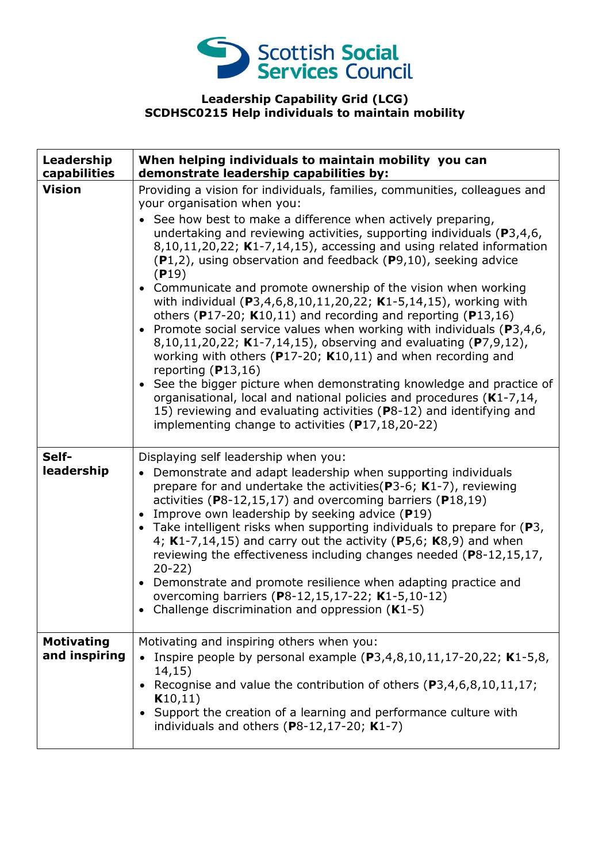

## **Leadership Capability Grid (LCG) SCDHSC0215 Help individuals to maintain mobility**

| Leadership<br>capabilities         | When helping individuals to maintain mobility you can<br>demonstrate leadership capabilities by:                                                                                                                                                                                                                                                                                                                                                                                                                                                                                                                                                                                                                                                                                                                                                                                                                                                                                                                                                                                                                                               |
|------------------------------------|------------------------------------------------------------------------------------------------------------------------------------------------------------------------------------------------------------------------------------------------------------------------------------------------------------------------------------------------------------------------------------------------------------------------------------------------------------------------------------------------------------------------------------------------------------------------------------------------------------------------------------------------------------------------------------------------------------------------------------------------------------------------------------------------------------------------------------------------------------------------------------------------------------------------------------------------------------------------------------------------------------------------------------------------------------------------------------------------------------------------------------------------|
| <b>Vision</b>                      | Providing a vision for individuals, families, communities, colleagues and<br>your organisation when you:<br>See how best to make a difference when actively preparing,<br>undertaking and reviewing activities, supporting individuals (P3,4,6,<br>8,10,11,20,22; K1-7,14,15), accessing and using related information<br>$(P1,2)$ , using observation and feedback $(P9,10)$ , seeking advice<br>(P19)<br>• Communicate and promote ownership of the vision when working<br>with individual (P3,4,6,8,10,11,20,22; K1-5,14,15), working with<br>others (P17-20; $K10,11$ ) and recording and reporting (P13,16)<br>• Promote social service values when working with individuals ( $P3,4,6$ ,<br>8,10,11,20,22; K1-7,14,15), observing and evaluating (P7,9,12),<br>working with others ( $P17-20$ ; K10,11) and when recording and<br>reporting $(P13,16)$<br>• See the bigger picture when demonstrating knowledge and practice of<br>organisational, local and national policies and procedures (K1-7,14,<br>15) reviewing and evaluating activities (P8-12) and identifying and<br>implementing change to activities $(P17, 18, 20 - 22)$ |
| Self-<br>leadership                | Displaying self leadership when you:<br>Demonstrate and adapt leadership when supporting individuals<br>$\bullet$<br>prepare for and undertake the activities ( $P3-6$ ; K1-7), reviewing<br>activities (P8-12,15,17) and overcoming barriers (P18,19)<br>Improve own leadership by seeking advice (P19)<br>• Take intelligent risks when supporting individuals to prepare for $(P3,$<br>4; $K1-7,14,15$ ) and carry out the activity (P5,6; $K8,9$ ) and when<br>reviewing the effectiveness including changes needed (P8-12,15,17,<br>$20-22)$<br>Demonstrate and promote resilience when adapting practice and<br>overcoming barriers (P8-12,15,17-22; K1-5,10-12)<br>Challenge discrimination and oppression $(K1-5)$                                                                                                                                                                                                                                                                                                                                                                                                                     |
| <b>Motivating</b><br>and inspiring | Motivating and inspiring others when you:<br>Inspire people by personal example $(P3,4,8,10,11,17-20,22; K1-5,8,$<br>14,15)<br>Recognise and value the contribution of others (P3,4,6,8,10,11,17;<br>K10,11)<br>Support the creation of a learning and performance culture with<br>individuals and others $(P8-12, 17-20; K1-7)$                                                                                                                                                                                                                                                                                                                                                                                                                                                                                                                                                                                                                                                                                                                                                                                                               |